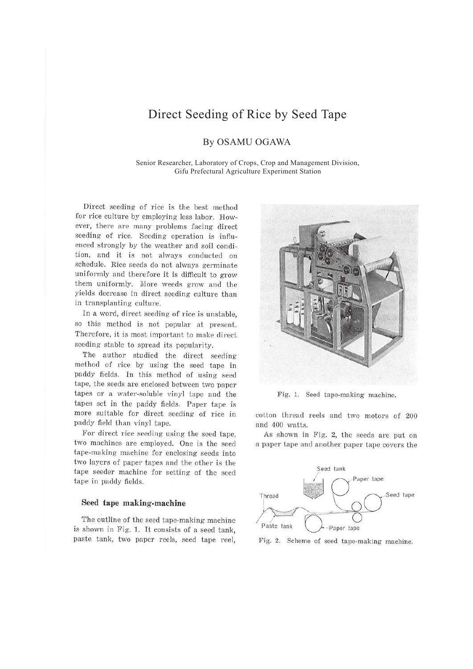# Direct Seeding of Rice by Seed Tape

# By OSAMU OGAWA

Senior Researcher, Laboratory of Crops, Crop and Management Division, Gifu Prefectural Agriculture Experiment Station

Direct seeding of rice is the best method for rice culture by employing less labor. However, there are many problems facing direct seeding of rice. Seeding operation is influenced strongly by the weather and soil condition, and it is not always conducted on schedule. Rice seeds do not always germinate uniformly and therefore it is difficult to grow them uniformly. More weeds grow and the yields decrease in direct seeding culture than in transplanting culture.

In a word, direct seeding of rice is unstable, so this method is not popular at present. Therefore, it is most important to make direct seeding stable to spread its popularity.

The author studied the direct seeding method of rice by using the seed tape in paddy fields. In this method of using seed tape, the seeds are enclosed between two paper tapes or a water-soluble vinyl tape and the tapes set in the paddy fields. Paper tape is more suitable for direct seeding of rice in paddy field than vinyl tape.

For direct rice seeding using the seed tape, two machines are employed. One is the seed tape-making machine for enclosing seeds into two layers of paper tapes and the other is the tape seeder machine for setting of the seed tape in paddy fields.

### **Seed tape making-machine**

The outline of the seed tape-making machine is shown in Fig. 1. It consists of a seed tank, paste tank, two paper reels, seed tape reel,



Fig. 1. Seed tape-making machine.

cotton thread reels and two motors of 200 and 400 watts.

As shown in Fig. 2, the seeds are put on a paper tape and another paper tape covers the



Fig. 2. Scheme of seed tape-making machine.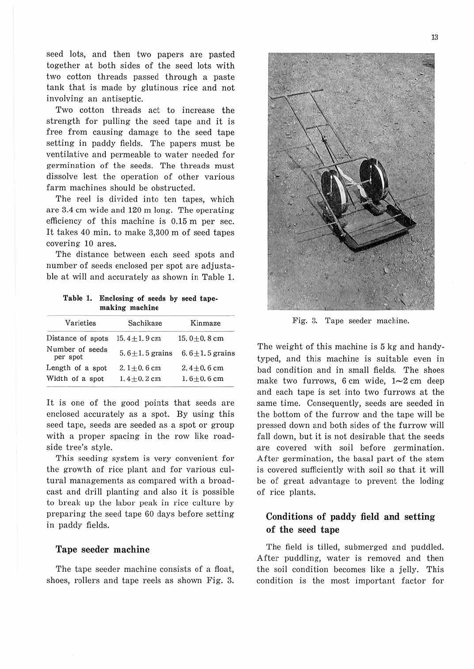seed lots, and then two papers are pasted together at both sides of the seed lots with two cotton threads passed through a paste tank that is made by glutinous rice and not involving an antiseptic.

Two cotton threads act to increase the strength for pulling the seed tape and it is free from causing damage to the seed tape setting in paddy fields. The papers must be ventilative and permeable to water needed for germination of the seeds. The threads must dissolve lest the operation of other various farm machines should be obstructed.

The reel is divided into ten tapes, which are 3.4 cm wide and 120 m long. The operating efficiency of this machine is 0.15 m per sec. It takes 40 min. to make 3,300 m of seed tapes covering 10 ares.

The distance between each seed spots and number of seeds enclosed per spot are adjustable at will and accurately as shown in Table 1.

**Table 1. Enclosing of seeds by seed tapemaking machine** 

| Sachikaze            | Kinmaze              |  |  |
|----------------------|----------------------|--|--|
| $15.4 \pm 1.9$ cm    | 15.0 $\pm$ 0.8 cm    |  |  |
| 5.6 $\pm$ 1.5 grains | $6.6 \pm 1.5$ grains |  |  |
| $2, 1+0.6$ cm        | $2.4 + 0.6$ cm       |  |  |
| $1.4 + 0.2$ cm       | $1.6 + 0.6$ cm       |  |  |
|                      |                      |  |  |

It is one of the good points that seeds are enclosed accurately as a spot. By using this seed tape, seeds are seeded as a spot or group with a proper spacing in the row like roadside tree's style.

This seeding system is very convenient for the growth of rice plant and for various cultural managements as compared with a broadcast and drill planting and also it is possible to break up the labor peak in rice culture by preparing the seed tape 60 days before setting in paddy fields.

#### **Tape seeder machine**

The tape seeder machine consists of a float, shoes, rollers and tape reels as shown Fig. 3.



Fig. 3. Tape seeder machine.

The weight of this machine is 5 kg and handytyped, and this machine is suitable even in bad condition and in small fields. The shoes make two furrows, 6 cm wide,  $1 \sim 2$  cm deep and each tape is set into two furrows at the same time. Consequently, seeds are seeded in the bottom of the furrow and the tape will be pressed down and both sides of the furrow will fall down, but it is not desirable that the seeds are covered with soil before germination. After germination, the basal part of the stem is covered sufficiently with soil so that it will be of great advantage to prevent the loding of rice plants.

## **Conditions of paddy field and setting of the seed tape**

The field is tilled, submerged and puddled. After puddling, water is removed and then the soil condition becomes like a jelly. This condition is the most important factor for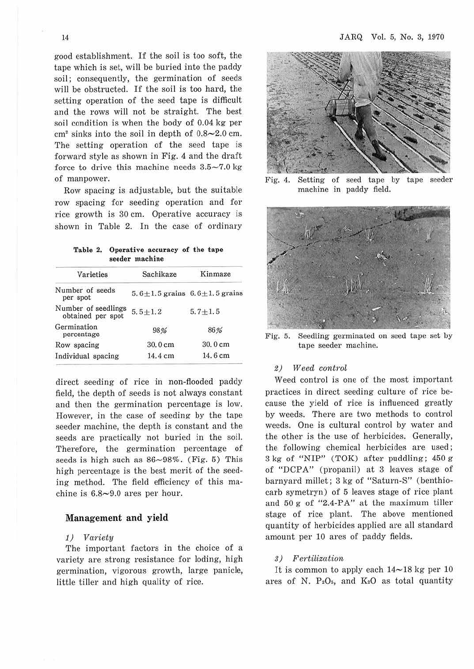good establishment. If the soil is too soft, the tape which is set, will be buried into the paddy soil; consequently, the germination of seeds will be obstructed. If the soil is too hard, the setting operation of the seed tape is difficult and the rows will not be straight. The best soil condition is when the body of 0.04 kg per  $cm<sup>2</sup>$  sinks into the soil in depth of  $0.8 \sim 2.0$  cm. The setting operation of the seed tape is forward style as shown in Fig. 4 and the draft force to drive this machine needs  $3.5\nightharpoonup7.0$  kg of manpower.

Row spacing is adjustable, but the suitable row spacing for seeding operation and for rice growth is 30 cm. Operative accuracy is shown in Table 2. In the case of ordinary

**Table 2. Operative accuracy of the tape seeder machine** 

| Sachikaze                                 | Kinmaze     |  |  |
|-------------------------------------------|-------------|--|--|
| $5.6 \pm 1.5$ grains $6.6 \pm 1.5$ grains |             |  |  |
| $5.5 + 1.2$                               | $5.7 + 1.5$ |  |  |
| 98%                                       | 86%         |  |  |
| 30.0 cm                                   | 30.0 cm     |  |  |
| 14.4 cm                                   | 14.6 cm     |  |  |
|                                           |             |  |  |

direct seeding of rice in non-flooded paddy field, the depth of seeds is not always constant and then the germination percentage is low. However, in the case of seeding by the tape seeder machine, the depth is constant and the seeds are practically not buried in the soil. Therefore, the germination percentage of seeds is high such as  $86\neg 98\%$ . (Fig. 5) This high percentage is the best merit of the seeding method. The field efficiency of this machine is  $6.8 \sim 9.0$  ares per hour.

#### **Management and yield**

#### *1) Variety*

The important factors in the choice of a variety are strong resistance for loding, high germination, vigorous growth, large panicle, little tiller and high quality of rice.



Fig. 4. Setting of seed tape by tape seeder machine in paddy field.



Fig. 5. Seedling germinated on seed tape set by tape seeder machine.

#### *2) Weed* control

Weed control is one of the most important practices in direct seeding culture of rice because the yield of rice is influenced greatly by weeds. There are two methods to control weeds. One is cultural control by water and the other is the use of herbicides. Generally, the following chemical herbicides are used; 3 kg of "NIP" (TOK) after puddling; 450 g of "DCPA" (propanil) at 3 leaves stage of barnyard millet; 3 kg of "Saturn-S" (benthiocarb symetryn) of 5 leaves stage of rice plant and  $50 g$  of "2.4-PA" at the maximum tiller stage of rice plant. The above mentioned quantity of herbicides applied are all standard amount per 10 ares of paddy fields.

### 3) Fertilization

It is common to apply each  $14 \sim 18$  kg per 10 ares of N. P<sub>2</sub>O<sub>s</sub>, and K<sub>2</sub>O as total quantity